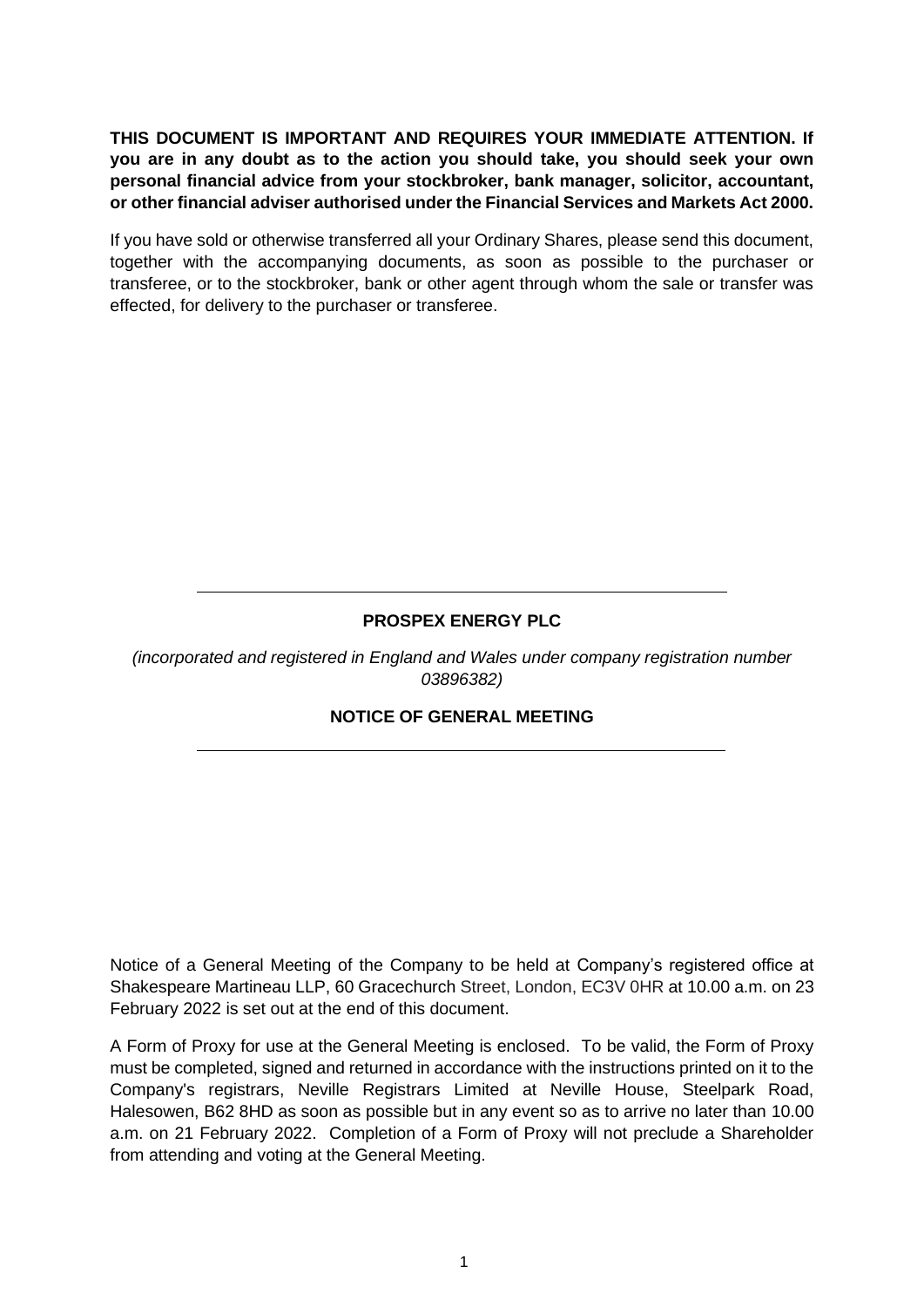**THIS DOCUMENT IS IMPORTANT AND REQUIRES YOUR IMMEDIATE ATTENTION. If you are in any doubt as to the action you should take, you should seek your own personal financial advice from your stockbroker, bank manager, solicitor, accountant, or other financial adviser authorised under the Financial Services and Markets Act 2000.**

If you have sold or otherwise transferred all your Ordinary Shares, please send this document, together with the accompanying documents, as soon as possible to the purchaser or transferee, or to the stockbroker, bank or other agent through whom the sale or transfer was effected, for delivery to the purchaser or transferee.

## **PROSPEX ENERGY PLC**

*(incorporated and registered in England and Wales under company registration number 03896382)*

## **NOTICE OF GENERAL MEETING**

Notice of a General Meeting of the Company to be held at Company's registered office at Shakespeare Martineau LLP, 60 Gracechurch Street, London, EC3V 0HR at 10.00 a.m. on 23 February 2022 is set out at the end of this document.

A Form of Proxy for use at the General Meeting is enclosed. To be valid, the Form of Proxy must be completed, signed and returned in accordance with the instructions printed on it to the Company's registrars, Neville Registrars Limited at Neville House, Steelpark Road, Halesowen, B62 8HD as soon as possible but in any event so as to arrive no later than 10.00 a.m. on 21 February 2022. Completion of a Form of Proxy will not preclude a Shareholder from attending and voting at the General Meeting.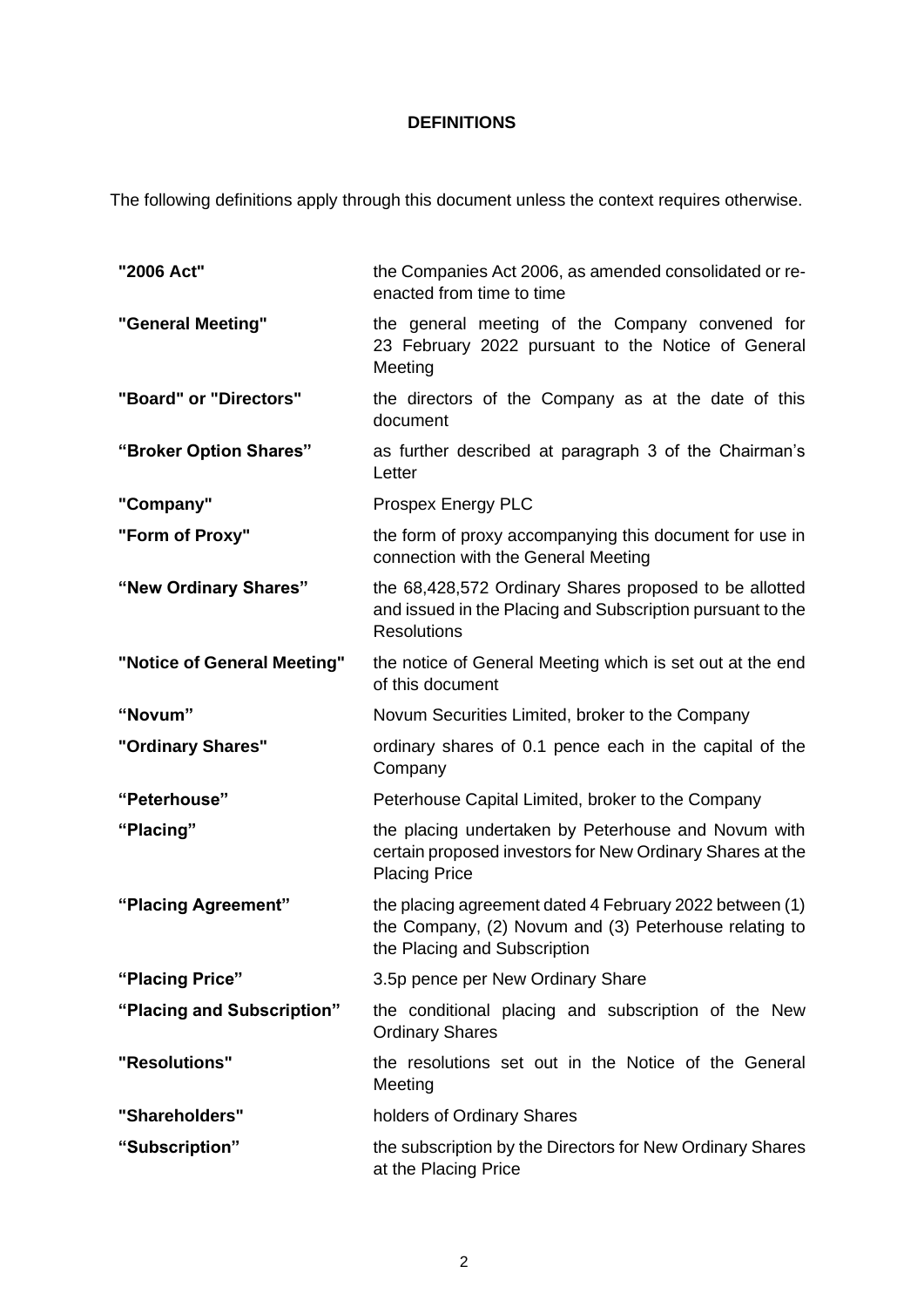# **DEFINITIONS**

The following definitions apply through this document unless the context requires otherwise.

| "2006 Act"                  | the Companies Act 2006, as amended consolidated or re-<br>enacted from time to time                                                              |  |
|-----------------------------|--------------------------------------------------------------------------------------------------------------------------------------------------|--|
| "General Meeting"           | the general meeting of the Company convened for<br>23 February 2022 pursuant to the Notice of General<br>Meeting                                 |  |
| "Board" or "Directors"      | the directors of the Company as at the date of this<br>document                                                                                  |  |
| "Broker Option Shares"      | as further described at paragraph 3 of the Chairman's<br>Letter                                                                                  |  |
| "Company"                   | Prospex Energy PLC                                                                                                                               |  |
| "Form of Proxy"             | the form of proxy accompanying this document for use in<br>connection with the General Meeting                                                   |  |
| "New Ordinary Shares"       | the 68,428,572 Ordinary Shares proposed to be allotted<br>and issued in the Placing and Subscription pursuant to the<br><b>Resolutions</b>       |  |
| "Notice of General Meeting" | the notice of General Meeting which is set out at the end<br>of this document                                                                    |  |
| "Novum"                     | Novum Securities Limited, broker to the Company                                                                                                  |  |
| "Ordinary Shares"           | ordinary shares of 0.1 pence each in the capital of the<br>Company                                                                               |  |
| "Peterhouse"                | Peterhouse Capital Limited, broker to the Company                                                                                                |  |
| "Placing"                   | the placing undertaken by Peterhouse and Novum with<br>certain proposed investors for New Ordinary Shares at the<br><b>Placing Price</b>         |  |
| "Placing Agreement"         | the placing agreement dated 4 February 2022 between (1)<br>the Company, (2) Novum and (3) Peterhouse relating to<br>the Placing and Subscription |  |
| "Placing Price"             | 3.5p pence per New Ordinary Share                                                                                                                |  |
| "Placing and Subscription"  | the conditional placing and subscription of the New<br><b>Ordinary Shares</b>                                                                    |  |
| "Resolutions"               | the resolutions set out in the Notice of the General<br>Meeting                                                                                  |  |
| "Shareholders"              | holders of Ordinary Shares                                                                                                                       |  |
| "Subscription"              | the subscription by the Directors for New Ordinary Shares<br>at the Placing Price                                                                |  |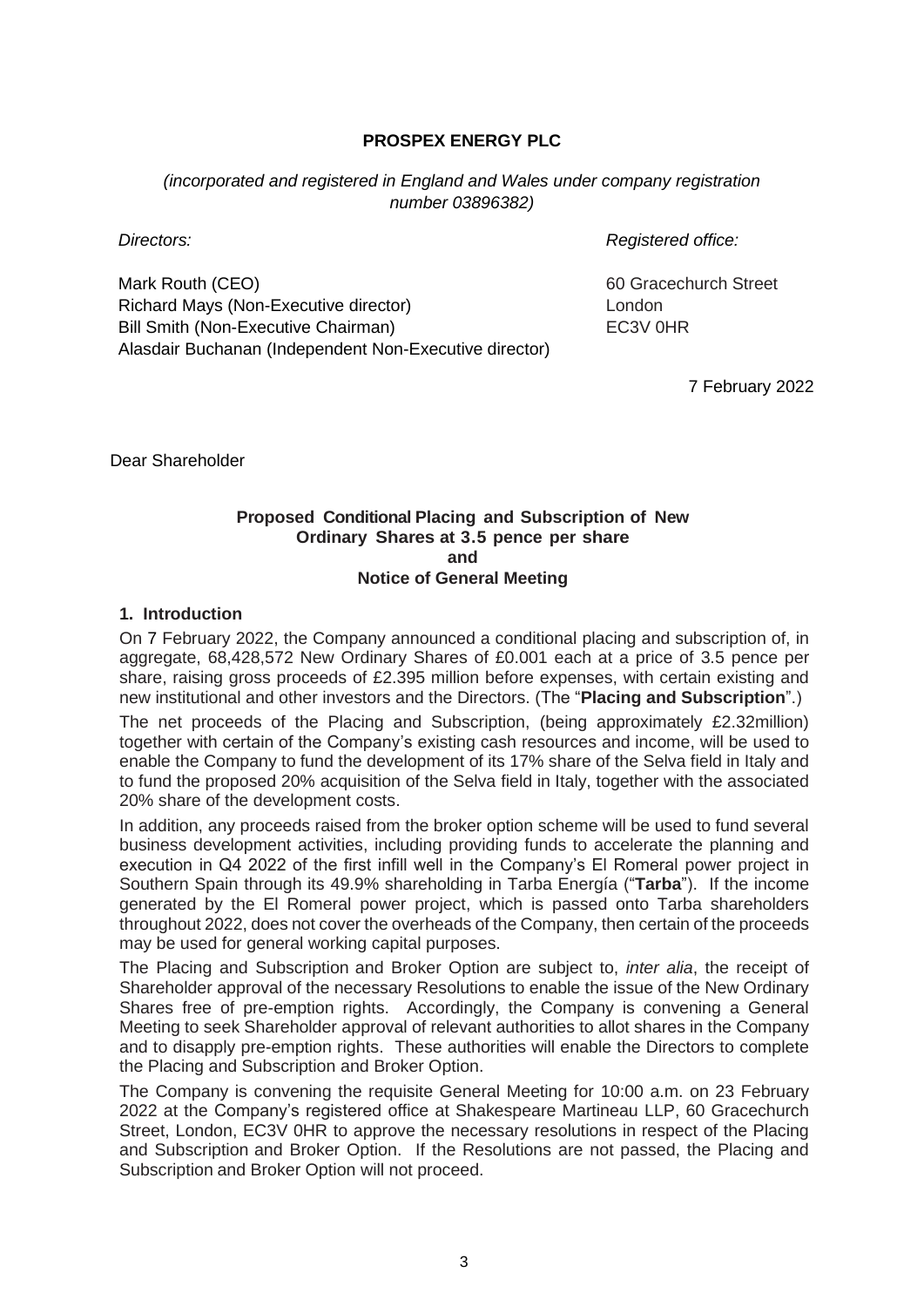### **PROSPEX ENERGY PLC**

*(incorporated and registered in England and Wales under company registration number 03896382)*

*Directors: Registered office:*

Mark Routh (CEO) Richard Mays (Non-Executive director) Bill Smith (Non-Executive Chairman) Alasdair Buchanan (Independent Non-Executive director) 60 Gracechurch Street London EC3V 0HR

7 February 2022

Dear Shareholder

#### **Proposed Conditional Placing and Subscription of New Ordinary Shares at 3.5 pence per share and Notice of General Meeting**

#### **1. Introduction**

On 7 February 2022, the Company announced a conditional placing and subscription of, in aggregate, 68,428,572 New Ordinary Shares of £0.001 each at a price of 3.5 pence per share, raising gross proceeds of £2.395 million before expenses, with certain existing and new institutional and other investors and the Directors. (The "**Placing and Subscription**".)

The net proceeds of the Placing and Subscription, (being approximately £2.32million) together with certain of the Company's existing cash resources and income, will be used to enable the Company to fund the development of its 17% share of the Selva field in Italy and to fund the proposed 20% acquisition of the Selva field in Italy, together with the associated 20% share of the development costs.

In addition, any proceeds raised from the broker option scheme will be used to fund several business development activities, including providing funds to accelerate the planning and execution in Q4 2022 of the first infill well in the Company's El Romeral power project in Southern Spain through its 49.9% shareholding in Tarba Energía ("**Tarba**"). If the income generated by the El Romeral power project, which is passed onto Tarba shareholders throughout 2022, does not cover the overheads of the Company, then certain of the proceeds may be used for general working capital purposes.

The Placing and Subscription and Broker Option are subject to, *inter alia*, the receipt of Shareholder approval of the necessary Resolutions to enable the issue of the New Ordinary Shares free of pre-emption rights. Accordingly, the Company is convening a General Meeting to seek Shareholder approval of relevant authorities to allot shares in the Company and to disapply pre-emption rights. These authorities will enable the Directors to complete the Placing and Subscription and Broker Option.

The Company is convening the requisite General Meeting for 10:00 a.m. on 23 February 2022 at the Company's registered office at Shakespeare Martineau LLP, 60 Gracechurch Street, London, EC3V 0HR to approve the necessary resolutions in respect of the Placing and Subscription and Broker Option. If the Resolutions are not passed, the Placing and Subscription and Broker Option will not proceed.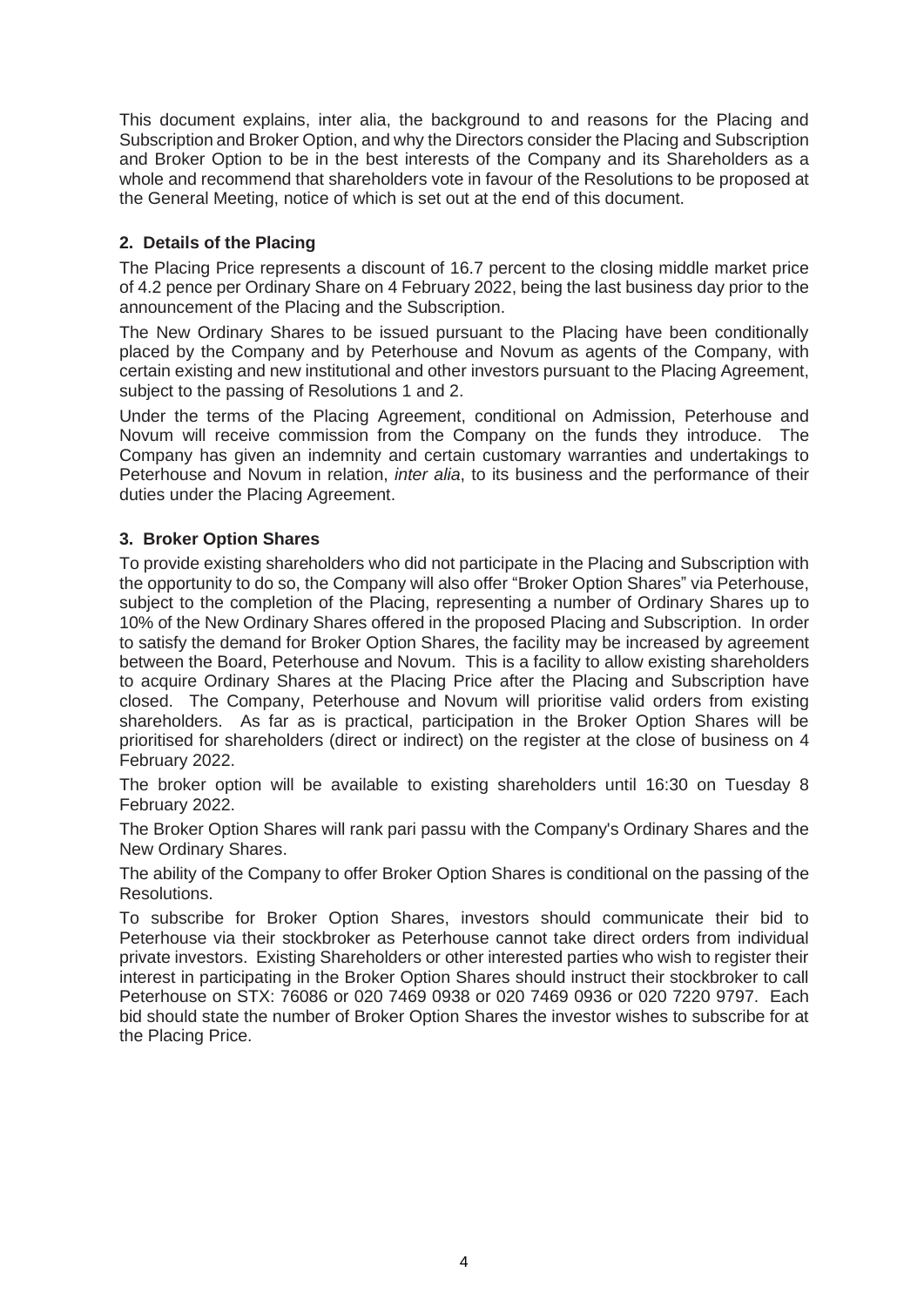This document explains, inter alia, the background to and reasons for the Placing and Subscription and Broker Option, and why the Directors consider the Placing and Subscription and Broker Option to be in the best interests of the Company and its Shareholders as a whole and recommend that shareholders vote in favour of the Resolutions to be proposed at the General Meeting, notice of which is set out at the end of this document.

### **2. Details of the Placing**

The Placing Price represents a discount of 16.7 percent to the closing middle market price of 4.2 pence per Ordinary Share on 4 February 2022, being the last business day prior to the announcement of the Placing and the Subscription.

The New Ordinary Shares to be issued pursuant to the Placing have been conditionally placed by the Company and by Peterhouse and Novum as agents of the Company, with certain existing and new institutional and other investors pursuant to the Placing Agreement, subject to the passing of Resolutions 1 and 2.

Under the terms of the Placing Agreement, conditional on Admission, Peterhouse and Novum will receive commission from the Company on the funds they introduce. The Company has given an indemnity and certain customary warranties and undertakings to Peterhouse and Novum in relation, *inter alia*, to its business and the performance of their duties under the Placing Agreement.

### **3. Broker Option Shares**

To provide existing shareholders who did not participate in the Placing and Subscription with the opportunity to do so, the Company will also offer "Broker Option Shares" via Peterhouse, subject to the completion of the Placing, representing a number of Ordinary Shares up to 10% of the New Ordinary Shares offered in the proposed Placing and Subscription. In order to satisfy the demand for Broker Option Shares, the facility may be increased by agreement between the Board, Peterhouse and Novum. This is a facility to allow existing shareholders to acquire Ordinary Shares at the Placing Price after the Placing and Subscription have closed. The Company, Peterhouse and Novum will prioritise valid orders from existing shareholders. As far as is practical, participation in the Broker Option Shares will be prioritised for shareholders (direct or indirect) on the register at the close of business on 4 February 2022.

The broker option will be available to existing shareholders until 16:30 on Tuesday 8 February 2022.

The Broker Option Shares will rank pari passu with the Company's Ordinary Shares and the New Ordinary Shares.

The ability of the Company to offer Broker Option Shares is conditional on the passing of the Resolutions.

To subscribe for Broker Option Shares, investors should communicate their bid to Peterhouse via their stockbroker as Peterhouse cannot take direct orders from individual private investors. Existing Shareholders or other interested parties who wish to register their interest in participating in the Broker Option Shares should instruct their stockbroker to call Peterhouse on STX: 76086 or 020 7469 0938 or 020 7469 0936 or 020 7220 9797. Each bid should state the number of Broker Option Shares the investor wishes to subscribe for at the Placing Price.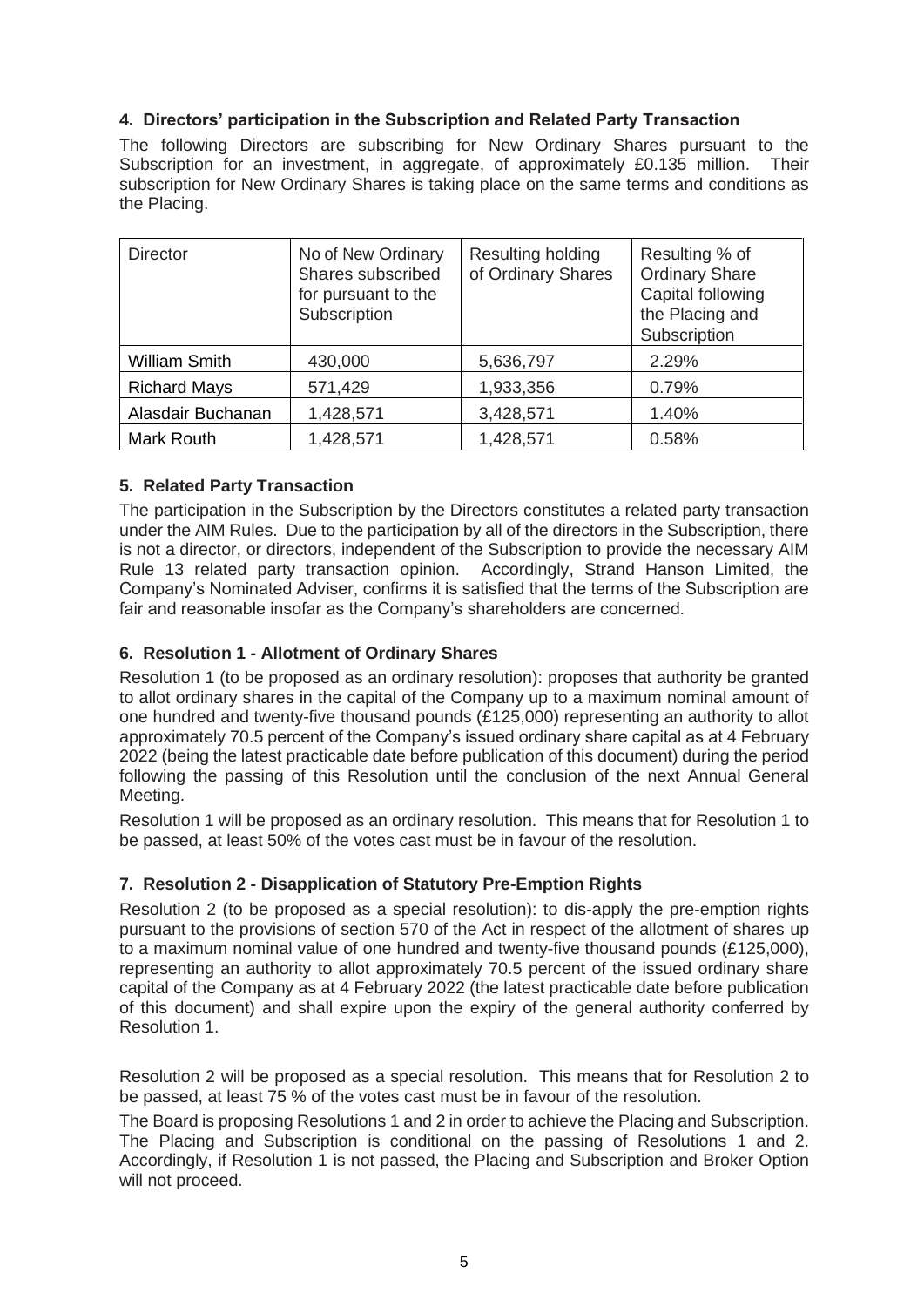## **4. Directors' participation in the Subscription and Related Party Transaction**

The following Directors are subscribing for New Ordinary Shares pursuant to the Subscription for an investment, in aggregate, of approximately £0.135 million. Their subscription for New Ordinary Shares is taking place on the same terms and conditions as the Placing.

| <b>Director</b>      | No of New Ordinary<br>Shares subscribed<br>for pursuant to the<br>Subscription | Resulting holding<br>of Ordinary Shares | Resulting % of<br><b>Ordinary Share</b><br>Capital following<br>the Placing and<br>Subscription |
|----------------------|--------------------------------------------------------------------------------|-----------------------------------------|-------------------------------------------------------------------------------------------------|
| <b>William Smith</b> | 430,000                                                                        | 5,636,797                               | 2.29%                                                                                           |
| <b>Richard Mays</b>  | 571,429                                                                        | 1,933,356                               | 0.79%                                                                                           |
| Alasdair Buchanan    | 1,428,571                                                                      | 3,428,571                               | 1.40%                                                                                           |
| <b>Mark Routh</b>    | 1,428,571                                                                      | 1,428,571                               | 0.58%                                                                                           |

### **5. Related Party Transaction**

The participation in the Subscription by the Directors constitutes a related party transaction under the AIM Rules. Due to the participation by all of the directors in the Subscription, there is not a director, or directors, independent of the Subscription to provide the necessary AIM Rule 13 related party transaction opinion. Accordingly, Strand Hanson Limited, the Company's Nominated Adviser, confirms it is satisfied that the terms of the Subscription are fair and reasonable insofar as the Company's shareholders are concerned.

### **6. Resolution 1 - Allotment of Ordinary Shares**

Resolution 1 (to be proposed as an ordinary resolution): proposes that authority be granted to allot ordinary shares in the capital of the Company up to a maximum nominal amount of one hundred and twenty-five thousand pounds (£125,000) representing an authority to allot approximately 70.5 percent of the Company's issued ordinary share capital as at 4 February 2022 (being the latest practicable date before publication of this document) during the period following the passing of this Resolution until the conclusion of the next Annual General Meeting.

Resolution 1 will be proposed as an ordinary resolution. This means that for Resolution 1 to be passed, at least 50% of the votes cast must be in favour of the resolution.

### **7. Resolution 2 - Disapplication of Statutory Pre-Emption Rights**

Resolution 2 (to be proposed as a special resolution): to dis-apply the pre-emption rights pursuant to the provisions of section 570 of the Act in respect of the allotment of shares up to a maximum nominal value of one hundred and twenty-five thousand pounds (£125,000), representing an authority to allot approximately 70.5 percent of the issued ordinary share capital of the Company as at 4 February 2022 (the latest practicable date before publication of this document) and shall expire upon the expiry of the general authority conferred by Resolution 1.

Resolution 2 will be proposed as a special resolution. This means that for Resolution 2 to be passed, at least 75 % of the votes cast must be in favour of the resolution.

The Board is proposing Resolutions 1 and 2 in order to achieve the Placing and Subscription. The Placing and Subscription is conditional on the passing of Resolutions 1 and 2. Accordingly, if Resolution 1 is not passed, the Placing and Subscription and Broker Option will not proceed.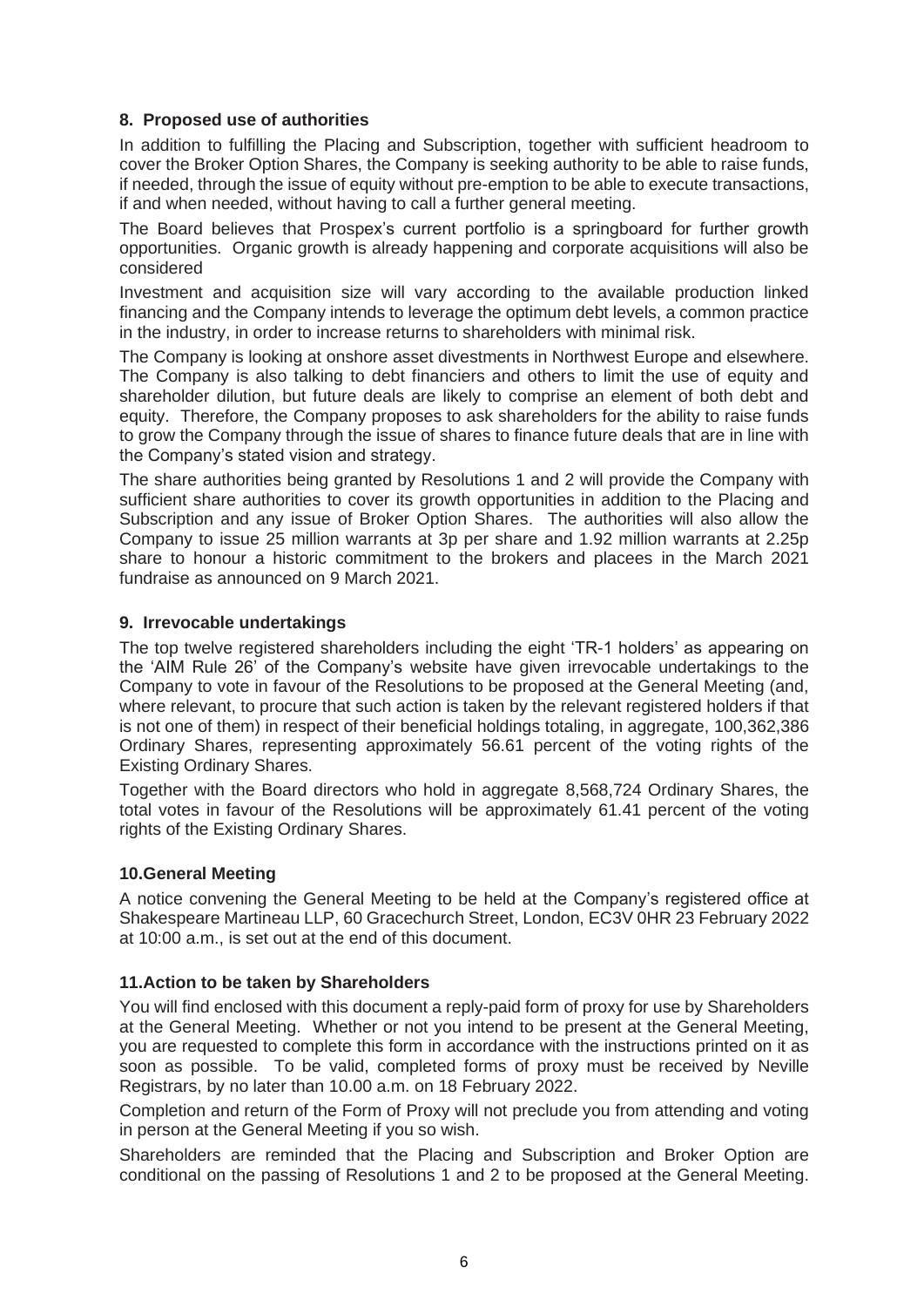### **8. Proposed use of authorities**

In addition to fulfilling the Placing and Subscription, together with sufficient headroom to cover the Broker Option Shares, the Company is seeking authority to be able to raise funds, if needed, through the issue of equity without pre-emption to be able to execute transactions, if and when needed, without having to call a further general meeting.

The Board believes that Prospex's current portfolio is a springboard for further growth opportunities. Organic growth is already happening and corporate acquisitions will also be considered

Investment and acquisition size will vary according to the available production linked financing and the Company intends to leverage the optimum debt levels, a common practice in the industry, in order to increase returns to shareholders with minimal risk.

The Company is looking at onshore asset divestments in Northwest Europe and elsewhere. The Company is also talking to debt financiers and others to limit the use of equity and shareholder dilution, but future deals are likely to comprise an element of both debt and equity. Therefore, the Company proposes to ask shareholders for the ability to raise funds to grow the Company through the issue of shares to finance future deals that are in line with the Company's stated vision and strategy.

The share authorities being granted by Resolutions 1 and 2 will provide the Company with sufficient share authorities to cover its growth opportunities in addition to the Placing and Subscription and any issue of Broker Option Shares. The authorities will also allow the Company to issue 25 million warrants at 3p per share and 1.92 million warrants at 2.25p share to honour a historic commitment to the brokers and placees in the March 2021 fundraise as announced on 9 March 2021.

#### **9. Irrevocable undertakings**

The top twelve registered shareholders including the eight 'TR-1 holders' as appearing on the 'AIM Rule 26' of the Company's website have given irrevocable undertakings to the Company to vote in favour of the Resolutions to be proposed at the General Meeting (and, where relevant, to procure that such action is taken by the relevant registered holders if that is not one of them) in respect of their beneficial holdings totaling, in aggregate, 100,362,386 Ordinary Shares, representing approximately 56.61 percent of the voting rights of the Existing Ordinary Shares.

Together with the Board directors who hold in aggregate 8,568,724 Ordinary Shares, the total votes in favour of the Resolutions will be approximately 61.41 percent of the voting rights of the Existing Ordinary Shares.

#### **10.General Meeting**

A notice convening the General Meeting to be held at the Company's registered office at Shakespeare Martineau LLP, 60 Gracechurch Street, London, EC3V 0HR 23 February 2022 at 10:00 a.m., is set out at the end of this document.

#### **11.Action to be taken by Shareholders**

You will find enclosed with this document a reply-paid form of proxy for use by Shareholders at the General Meeting. Whether or not you intend to be present at the General Meeting, you are requested to complete this form in accordance with the instructions printed on it as soon as possible. To be valid, completed forms of proxy must be received by Neville Registrars, by no later than 10.00 a.m. on 18 February 2022.

Completion and return of the Form of Proxy will not preclude you from attending and voting in person at the General Meeting if you so wish.

Shareholders are reminded that the Placing and Subscription and Broker Option are conditional on the passing of Resolutions 1 and 2 to be proposed at the General Meeting.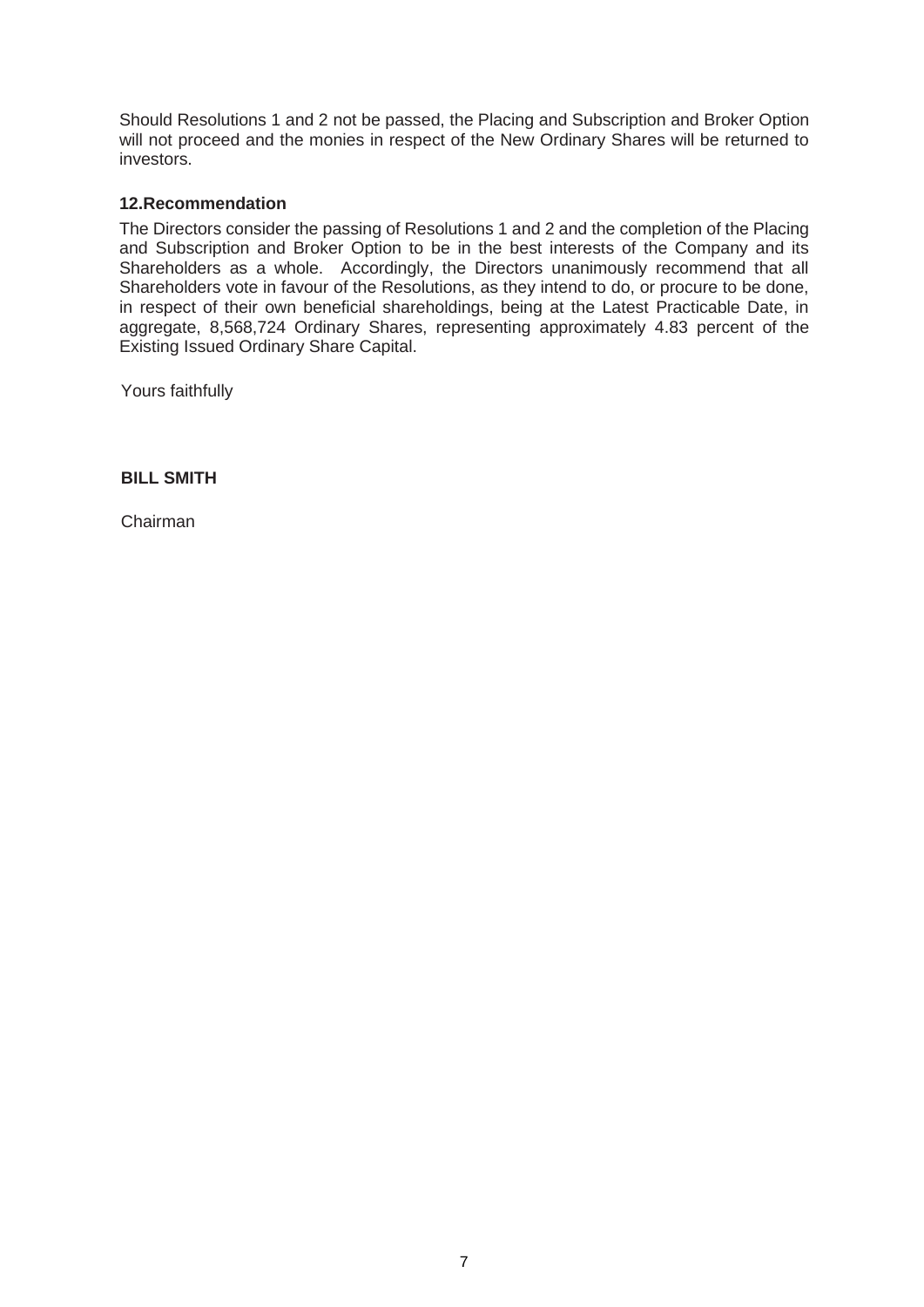Should Resolutions 1 and 2 not be passed, the Placing and Subscription and Broker Option will not proceed and the monies in respect of the New Ordinary Shares will be returned to investors.

#### **12.Recommendation**

The Directors consider the passing of Resolutions 1 and 2 and the completion of the Placing and Subscription and Broker Option to be in the best interests of the Company and its Shareholders as a whole. Accordingly, the Directors unanimously recommend that all Shareholders vote in favour of the Resolutions, as they intend to do, or procure to be done, in respect of their own beneficial shareholdings, being at the Latest Practicable Date, in aggregate, 8,568,724 Ordinary Shares, representing approximately 4.83 percent of the Existing Issued Ordinary Share Capital.

Yours faithfully

**BILL SMITH**

Chairman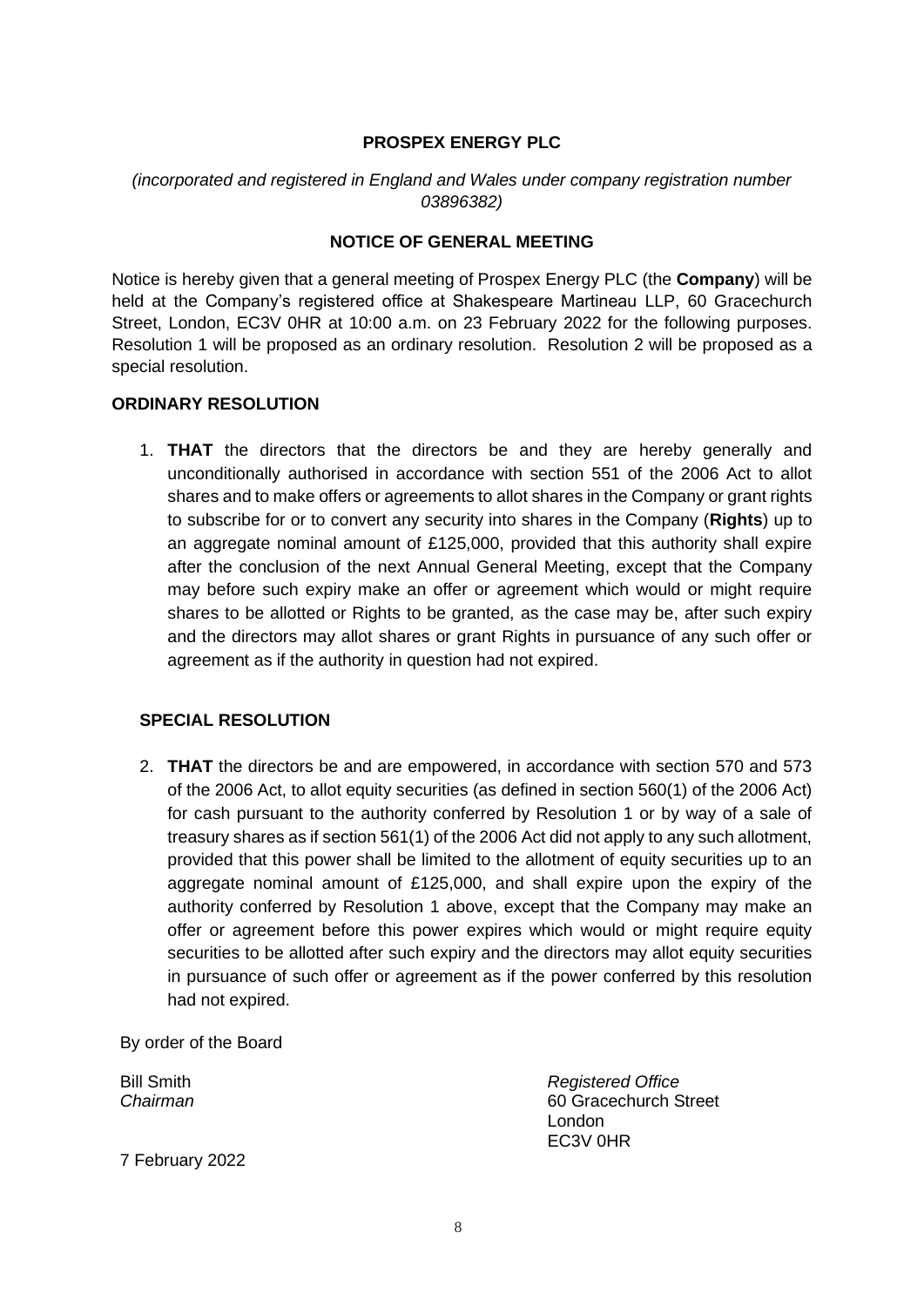#### **PROSPEX ENERGY PLC**

### *(incorporated and registered in England and Wales under company registration number 03896382)*

## **NOTICE OF GENERAL MEETING**

Notice is hereby given that a general meeting of Prospex Energy PLC (the **Company**) will be held at the Company's registered office at Shakespeare Martineau LLP, 60 Gracechurch Street, London, EC3V 0HR at 10:00 a.m. on 23 February 2022 for the following purposes. Resolution 1 will be proposed as an ordinary resolution. Resolution 2 will be proposed as a special resolution.

### **ORDINARY RESOLUTION**

1. **THAT** the directors that the directors be and they are hereby generally and unconditionally authorised in accordance with section 551 of the 2006 Act to allot shares and to make offers or agreements to allot shares in the Company or grant rights to subscribe for or to convert any security into shares in the Company (**Rights**) up to an aggregate nominal amount of £125,000, provided that this authority shall expire after the conclusion of the next Annual General Meeting, except that the Company may before such expiry make an offer or agreement which would or might require shares to be allotted or Rights to be granted, as the case may be, after such expiry and the directors may allot shares or grant Rights in pursuance of any such offer or agreement as if the authority in question had not expired.

#### **SPECIAL RESOLUTION**

2. **THAT** the directors be and are empowered, in accordance with section 570 and 573 of the 2006 Act, to allot equity securities (as defined in section 560(1) of the 2006 Act) for cash pursuant to the authority conferred by Resolution 1 or by way of a sale of treasury shares as if section 561(1) of the 2006 Act did not apply to any such allotment, provided that this power shall be limited to the allotment of equity securities up to an aggregate nominal amount of £125,000, and shall expire upon the expiry of the authority conferred by Resolution 1 above, except that the Company may make an offer or agreement before this power expires which would or might require equity securities to be allotted after such expiry and the directors may allot equity securities in pursuance of such offer or agreement as if the power conferred by this resolution had not expired.

By order of the Board

Bill Smith *Registered Office Chairman* 60 Gracechurch Street London EC3V 0HR

7 February 2022